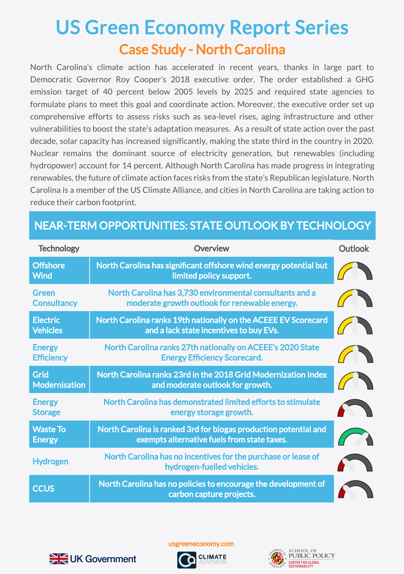## Case Study - North Carolina US Green Economy Report Series

North Carolina's climate action has accelerated in recent years, thanks in large part to Democratic Governor Roy Cooper's 2018 executive order. The order established a GHG emission target of 40 percent below 2005 levels by 2025 and required state agencies to formulate plans to meet this goal and coordinate action. Moreover, the executive order set up comprehensive efforts to assess risks such as sea-level rises, aging infrastructure and other vulnerabilities to boost the state's adaptation measures. As a result of state action over the past decade, solar capacity has increased significantly, making the state third in the country in 2020. Nuclear remains the dominant source of electricity generation, but renewables (including hydropower) account for 14 percent. Although North Carolina has made progress in integrating renewables, the future of climate action faces risks from the state's Republican legislature. North Carolina is a member of the US Climate Alliance, and cities in North Carolina are taking action to reduce their carbon footprint.

## NEAR-TERM OPPORTUNITIES: STATE OUTLOOK BY TECHNOLOGY

| <b>Technology</b>                  | Overview                                                                                                        | <b>Outlook</b> |
|------------------------------------|-----------------------------------------------------------------------------------------------------------------|----------------|
| <b>Offshore</b><br><b>Wind</b>     | North Carolina has significant offshore wind energy potential but<br>limited policy support.                    |                |
| <b>Green</b><br><b>Consultancy</b> | North Carolina has 3,730 environmental consultants and a<br>moderate growth outlook for renewable energy.       |                |
| <b>Electric</b><br><b>Vehicles</b> | North Carolina ranks 19th nationally on the ACEEE EV Scorecard<br>and a lack state incentives to buy EVs.       |                |
| <b>Energy</b><br><b>Efficiency</b> | North Carolina ranks 27th nationally on ACEEE's 2020 State<br><b>Energy Efficiency Scorecard.</b>               |                |
| Grid<br><b>Modernisation</b>       | North Carolina ranks 23rd in the 2018 Grid Modernization Index<br>and moderate outlook for growth.              |                |
| <b>Energy</b><br><b>Storage</b>    | North Carolina has demonstrated limited efforts to stimulate<br>energy storage growth.                          |                |
| <b>Waste To</b><br><b>Energy</b>   | North Carolina is ranked 3rd for biogas production potential and<br>exempts alternative fuels from state taxes. |                |
| <b>Hydrogen</b>                    | North Carolina has no incentives for the purchase or lease of<br>hydrogen-fuelled vehicles.                     |                |
| <b>CCUS</b>                        | North Carolina has no policies to encourage the development of<br>carbon capture projects.                      |                |



usgreeneconomy.com